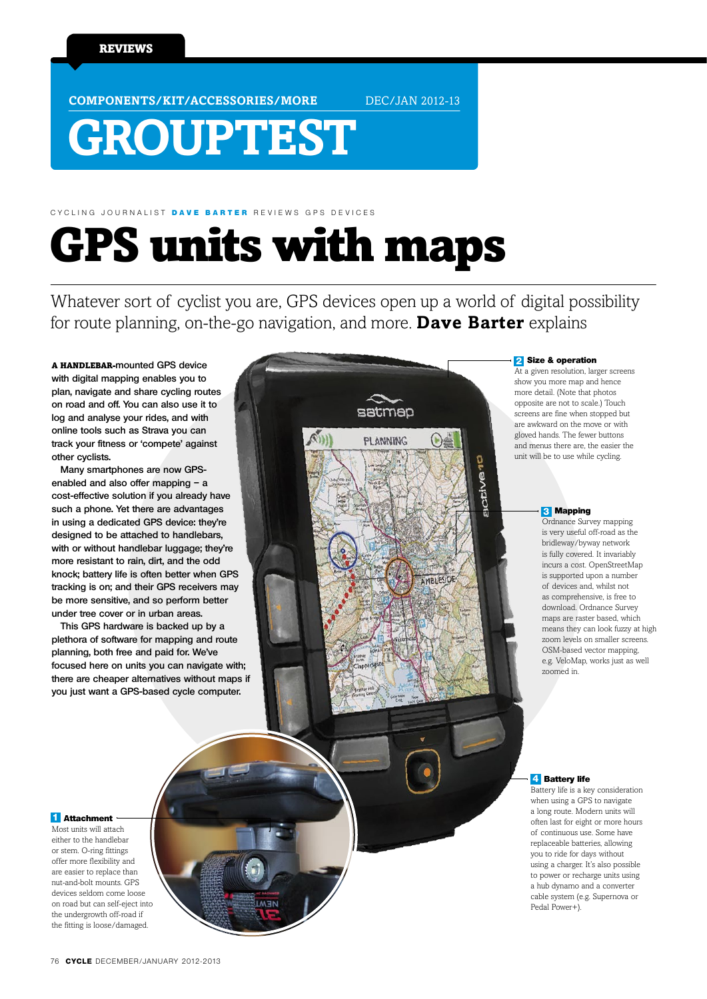**COMPONENTS/KIT/ACCESSORIES/MORE** DEC/JAN 2012-13

# **GROUPTEST**

# GPS units with maps CYCLING JOURNALIST DAVE RARTER REVIEWS GPS DEVICES

Whatever sort of cyclist you are, GPS devices open up a world of digital possibility for route planning, on-the-go navigation, and more. **Dave Barter** explains

satmap

**PLANNING** 

A handlebar-**mounted GPS device with digital mapping enables you to plan, navigate and share cycling routes on road and off. You can also use it to log and analyse your rides, and with online tools such as Strava you can track your fitness or 'compete' against other cyclists.** 

**Many smartphones are now GPSenabled and also offer mapping – a cost-effective solution if you already have such a phone. Yet there are advantages in using a dedicated GPS device: they're designed to be attached to handlebars, with or without handlebar luggage; they're more resistant to rain, dirt, and the odd knock; battery life is often better when GPS tracking is on; and their GPS receivers may be more sensitive, and so perform better under tree cover or in urban areas.**

**This GPS hardware is backed up by a plethora of software for mapping and route planning, both free and paid for. We've focused here on units you can navigate with; there are cheaper alternatives without maps if you just want a GPS-based cycle computer.** 

### Size & operation **2**

At a given resolution, larger screens show you more map and hence more detail. (Note that photos opposite are not to scale.) Touch screens are fine when stopped but are awkward on the move or with gloved hands. The fewer buttons and menus there are, the easier the unit will be to use while cycling.

#### **3** Mapping

Ordnance Survey mapping is very useful off-road as the bridleway/byway network is fully covered. It invariably incurs a cost. OpenStreetMap is supported upon a number of devices and, whilst not as comprehensive, is free to download. Ordnance Survey maps are raster based, which means they can look fuzzy at high zoom levels on smaller screens. OSM-based vector mapping, e.g. VeloMap, works just as well zoomed in.

#### **4** Battery life

Battery life is a key consideration when using a GPS to navigate a long route. Modern units will often last for eight or more hours of continuous use. Some have replaceable batteries, allowing you to ride for days without using a charger. It's also possible to power or recharge units using a hub dynamo and a converter cable system (e.g. Supernova or Pedal Power+).

#### **1** Attachment

Most units will attach either to the handlebar or stem. O-ring fittings offer more flexibility and are easier to replace than nut-and-bolt mounts. GPS devices seldom come loose on road but can self-eject into the undergrowth off-road if the fitting is loose/damaged.